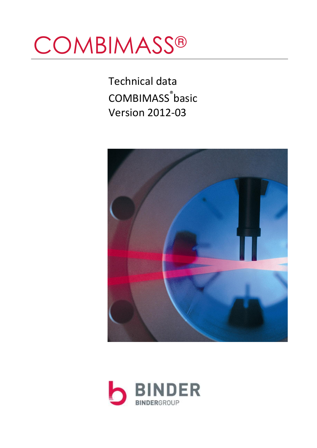# **COMBIMASS®**

Technical data COMBIMASS ® basic Version 2012-03



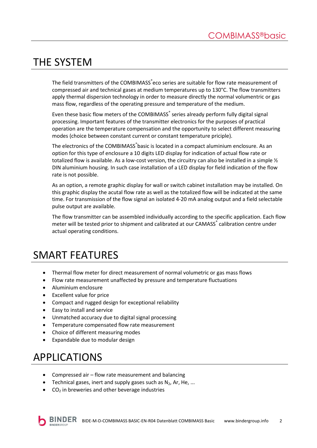# THE SYSTEM

The field transmitters of the COMBIMASS eco series are suitable for flow rate measurement of compressed air and technical gases at medium temperatures up to 130°C. The flow transmitters apply thermal dispersion technology in order to measure directly the normal volumentric or gas mass flow, regardless of the operating pressure and temperature of the medium.

Even these basic flow meters of the COMBIMASS® series already perform fully digital signal processing. Important features of the transmitter electronics for the purposes of practical operation are the temperature compensation and the opportunity to select different measuring modes (choice between constant current or constant temperature priciple).

The electronics of the COMBIMASS<sup>®</sup>basic is located in a compact aluminium enclosure. As an option for this type of enclosure a 10 digits LED display for indication of actual flow rate or totalized flow is available. As a low-cost version, the circuitry can also be installed in a simple  $\frac{1}{2}$ DIN aluminium housing. In such case installation of a LED display for field indication of the flow rate is not possible.

As an option, a remote graphic display for wall or switch cabinet installation may be installed. On this graphic display the acutal flow rate as well as the totalized flow will be indicated at the same time. For transmission of the flow signal an isolated 4-20 mA analog output and a field selectable pulse output are available.

The flow transmitter can be assembled individually according to the specific application. Each flow meter will be tested prior to shipment and calibrated at our CAMASS<sup>®</sup> calibration centre under actual operating conditions.

## SMART FEATURES

- Thermal flow meter for direct measurement of normal volumetric or gas mass flows
- Flow rate measurement unaffected by pressure and temperature fluctuations
- Aluminium enclosure
- Excellent value for price
- Compact and rugged design for exceptional reliability
- Easy to install and service
- Unmatched accuracy due to digital signal processing
- Temperature compensated flow rate measurement
- Choice of different measuring modes
- Expandable due to modular design

## APPLICATIONS

- Compressed air flow rate measurement and balancing
- Technical gases, inert and supply gases such as  $N_2$ , Ar, He, ...
- $\bullet$  CO<sub>2</sub> in breweries and other beverage industries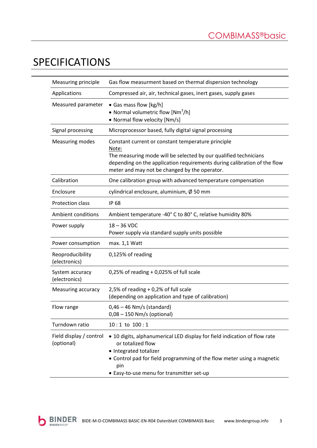# SPECIFICATIONS

h

| Measuring principle                   | Gas flow measurment based on thermal dispersion technology                                                                                                                                                                                                   |  |
|---------------------------------------|--------------------------------------------------------------------------------------------------------------------------------------------------------------------------------------------------------------------------------------------------------------|--|
| Applications                          | Compressed air, air, technical gases, inert gases, supply gases                                                                                                                                                                                              |  |
| Measured parameter                    | • Gas mass flow [kg/h]<br>• Normal volumetric flow $[Mm^3/h]$<br>• Normal flow velocity [Nm/s]                                                                                                                                                               |  |
| Signal processing                     | Microprocessor based, fully digital signal processing                                                                                                                                                                                                        |  |
| <b>Measuring modes</b>                | Constant current or constant temperature principle<br>Note:<br>The measuring mode will be selected by our qualified technicians<br>depending on the application requirements during calibration of the flow<br>meter and may not be changed by the operator. |  |
| Calibration                           | One calibration group with advanced temperature compensation                                                                                                                                                                                                 |  |
| Enclosure                             | cylindrical enclosure, aluminium, $\emptyset$ 50 mm                                                                                                                                                                                                          |  |
| Protection class                      | <b>IP 68</b>                                                                                                                                                                                                                                                 |  |
| <b>Ambient conditions</b>             | Ambient temperature -40° C to 80° C, relative humidity 80%                                                                                                                                                                                                   |  |
| Power supply                          | $18 - 36$ VDC<br>Power supply via standard supply units possible                                                                                                                                                                                             |  |
| Power consumption                     | max. 1,1 Watt                                                                                                                                                                                                                                                |  |
| Reoproducibility<br>(electronics)     | 0,125% of reading                                                                                                                                                                                                                                            |  |
| System accuracy<br>(electronics)      | $0,25%$ of reading + 0,025% of full scale                                                                                                                                                                                                                    |  |
| Measuring accuracy                    | 2,5% of reading $+0.2$ % of full scale<br>(depending on application and type of calibration)                                                                                                                                                                 |  |
| Flow range                            | $0,46 - 46$ Nm/s (standard)<br>$0.08 - 150$ Nm/s (optional)                                                                                                                                                                                                  |  |
| Turndown ratio                        | $10:1$ to $100:1$                                                                                                                                                                                                                                            |  |
| Field display / control<br>(optional) | • 10 digits, alphanumerical LED display for field indication of flow rate<br>or totalized flow<br>• Integrated totalizer<br>• Control pad for field programming of the flow meter using a magnetic<br>pin<br>• Easy-to-use menu for transmitter set-up       |  |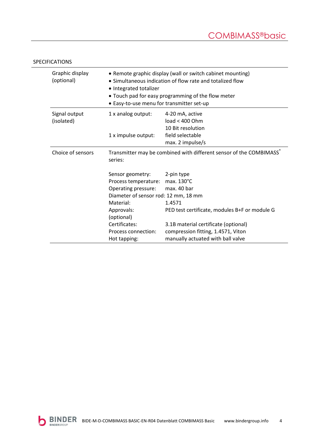| Graphic display<br>(optional) | • Remote graphic display (wall or switch cabinet mounting)<br>• Simultaneous indication of flow rate and totalized flow<br>• Integrated totalizer<br>• Touch pad for easy programming of the flow meter<br>• Easy-to-use menu for transmitter set-up |                                                                                                                                                                                                                       |  |
|-------------------------------|------------------------------------------------------------------------------------------------------------------------------------------------------------------------------------------------------------------------------------------------------|-----------------------------------------------------------------------------------------------------------------------------------------------------------------------------------------------------------------------|--|
| Signal output<br>(isolated)   | 1 x analog output:<br>1 x impulse output:                                                                                                                                                                                                            | 4-20 mA, active<br>load < 400 Ohm<br>10 Bit resolution<br>field selectable<br>max. 2 impulse/s                                                                                                                        |  |
| Choice of sensors             | Transmitter may be combined with different sensor of the COMBIMASS®<br>series:                                                                                                                                                                       |                                                                                                                                                                                                                       |  |
|                               | Sensor geometry:<br>Process temperature:<br>Operating pressure:<br>Diameter of sensor rod: 12 mm, 18 mm<br>Material:<br>Approvals:<br>(optional)<br>Certificates:<br>Process connection:<br>Hot tapping:                                             | 2-pin type<br>max. 130°C<br>max. 40 bar<br>1.4571<br>PED test certificate, modules B+F or module G<br>3.1B material certificate (optional)<br>compression fitting, 1.4571, Viton<br>manually actuated with ball valve |  |

#### SPECIFICATIONS

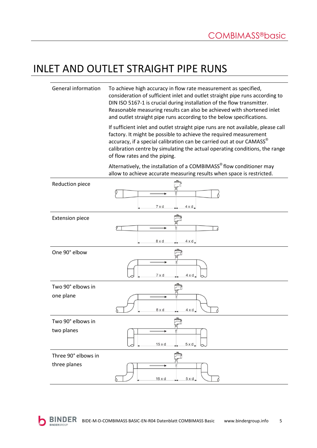#### INLET AND OUTLET STRAIGHT PIPE RUNS

General information To achieve high accuracy in flow rate measurement as specified, consideration of sufficient inlet and outlet straight pipe runs according to DIN ISO 5167-1 is crucial during installation of the flow transmitter. Reasonable measuring results can also be achieved with shortened inlet and outlet straight pipe runs according to the below specifications.

> If sufficient inlet and outlet straight pipe runs are not available, please call factory. It might be possible to achieve the required measurement accuracy, if a special calibration can be carried out at our CAMASS<sup>®</sup> calibration centre by simulating the actual operating conditions, the range of flow rates and the piping.

Alternatively, the installation of a COMBIMASS<sup>®</sup> flow conditioner may allow to achieve accurate measuring results when space is restricted.

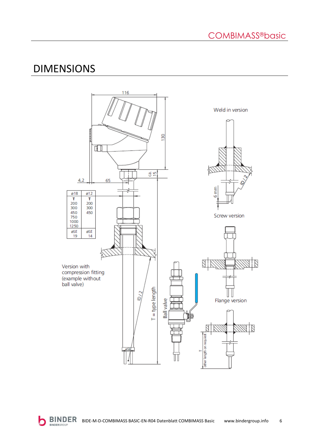#### DIMENSIONS

r